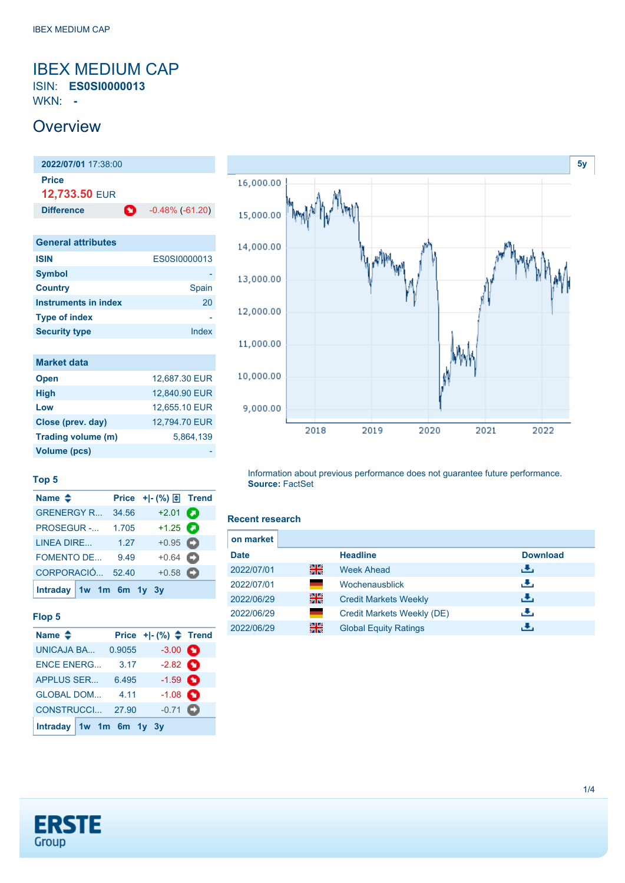## <span id="page-0-0"></span>IBEX MEDIUM CAP ISIN: **ES0SI0000013**

WKN: **-**

## **Overview**



| <b>General attributes</b> |              |
|---------------------------|--------------|
| <b>ISIN</b>               | ES0SI0000013 |
| <b>Symbol</b>             |              |
| <b>Country</b>            | Spain        |
| Instruments in index      | 20           |
| <b>Type of index</b>      |              |
| <b>Security type</b>      | Index        |
|                           |              |

| <b>Market data</b> |               |
|--------------------|---------------|
| <b>Open</b>        | 12,687.30 EUR |
| <b>High</b>        | 12,840.90 EUR |
| Low                | 12,655.10 EUR |
| Close (prev. day)  | 12.794.70 EUR |
| Trading volume (m) | 5.864.139     |
| Volume (pcs)       |               |



### **Top 5**

| Name $\triangleq$       |       |                   |  |
|-------------------------|-------|-------------------|--|
| <b>GRENERGY R</b>       | 34.56 | $+2.01$ $\bullet$ |  |
| <b>PROSEGUR -</b>       | 1.705 | $+1.25$ $\bullet$ |  |
| LINEA DIRE              | 1.27  | $+0.95$ $\Box$    |  |
| <b>FOMENTO DE</b>       | 9.49  | $+0.64$           |  |
| CORPORACIÓ              | 52.40 | $+0.58$ $\bullet$ |  |
| Intraday 1w 1m 6m 1y 3y |       |                   |  |

#### **Flop 5**

| Name $\triangleq$       |        | Price $+$ $ (*)$ $\triangle$ Trend |  |
|-------------------------|--------|------------------------------------|--|
| <b>UNICAJA BA</b>       | 0.9055 | $-3.00$ $\bullet$                  |  |
| <b>ENCE ENERG</b>       | 3.17   | $-2.82$ $\bullet$                  |  |
| <b>APPLUS SER</b>       | 6.495  | $-1.59$ $\bullet$                  |  |
| <b>GLOBAL DOM</b>       | 4.11   | $-1.08$ $\bullet$                  |  |
| CONSTRUCCI 27.90        |        | $-0.71$ $\bullet$                  |  |
| Intraday 1w 1m 6m 1y 3y |        |                                    |  |

Information about previous performance does not guarantee future performance. **Source:** FactSet

#### **Recent research**

| on market   |    |                              |                 |
|-------------|----|------------------------------|-----------------|
| <b>Date</b> |    | <b>Headline</b>              | <b>Download</b> |
| 2022/07/01  | 을중 | <b>Week Ahead</b>            | رنان            |
| 2022/07/01  |    | Wochenausblick               | æ,              |
| 2022/06/29  | 을중 | <b>Credit Markets Weekly</b> | رالى            |
| 2022/06/29  |    | Credit Markets Weekly (DE)   | رالى            |
| 2022/06/29  | 을중 | <b>Global Equity Ratings</b> | æ,              |

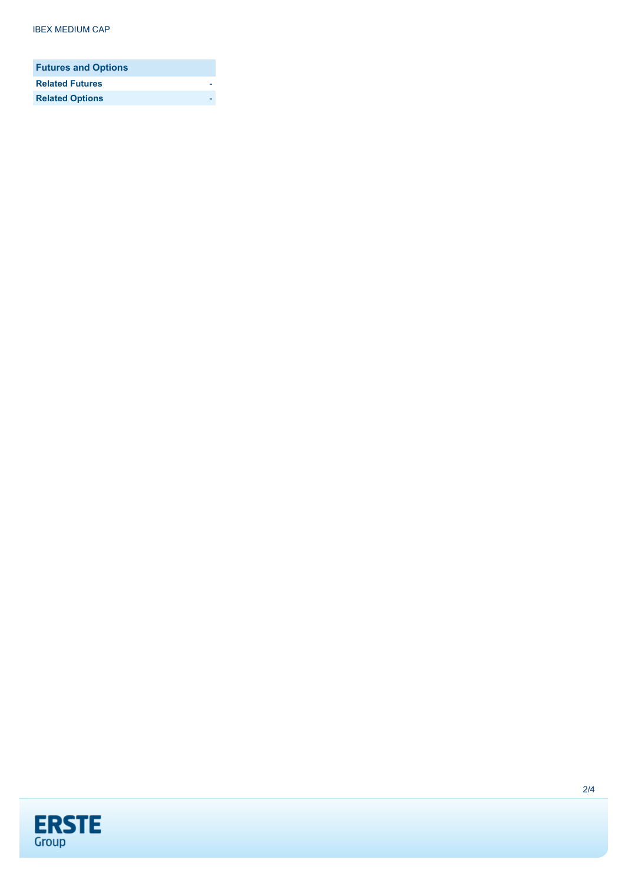| <b>Futures and Options</b> |  |
|----------------------------|--|
| <b>Related Futures</b>     |  |
| <b>Related Options</b>     |  |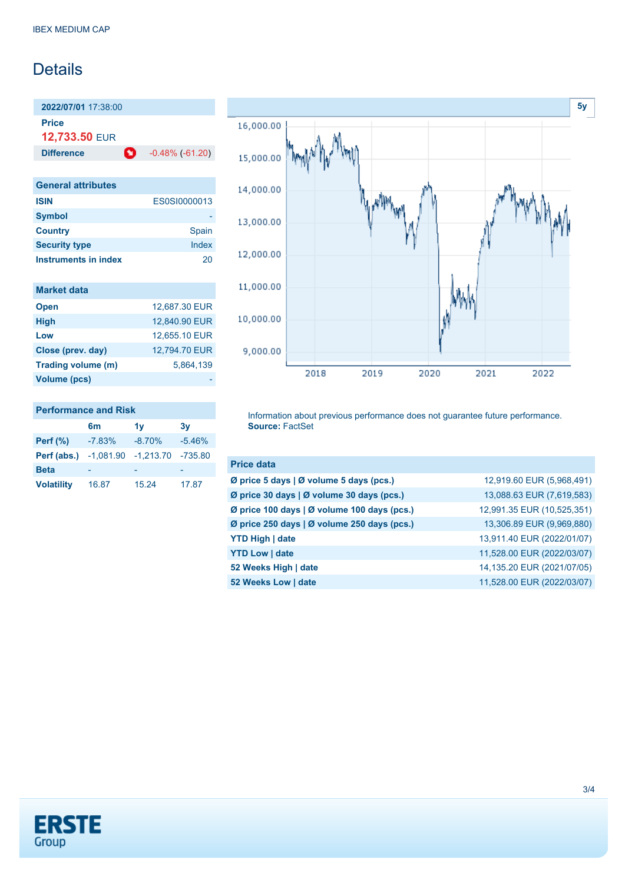## Details

**2022/07/01** 17:38:00 **Price 12,733.50** EUR

**Difference C** -0.48% (-61.20)

| <b>General attributes</b> |                     |
|---------------------------|---------------------|
| <b>ISIN</b>               | <b>ES0SI0000013</b> |
| <b>Symbol</b>             |                     |
| <b>Country</b>            | Spain               |
| <b>Security type</b>      | Index               |
| Instruments in index      | 20                  |

| <b>Market data</b>  |               |
|---------------------|---------------|
| <b>Open</b>         | 12,687.30 EUR |
| <b>High</b>         | 12,840.90 EUR |
| Low                 | 12,655.10 EUR |
| Close (prev. day)   | 12.794.70 EUR |
| Trading volume (m)  | 5.864.139     |
| <b>Volume (pcs)</b> |               |

**Perf (abs.)** -1,081.90 -1,213.70 -735.80

**Volatility** 16.87 15.24 17.87

Beta



#### **Performance and Risk 6m 1y 3y Perf (%)** -7.83% -8.70% -5.46% Information about previous performance does not guarantee future performance. **Source:** FactSet

| <b>Price data</b>                                 |                            |
|---------------------------------------------------|----------------------------|
| Ø price 5 days   Ø volume 5 days (pcs.)           | 12,919.60 EUR (5,968,491)  |
| Ø price 30 days   Ø volume 30 days (pcs.)         | 13,088.63 EUR (7,619,583)  |
| Ø price 100 days   Ø volume 100 days (pcs.)       | 12,991.35 EUR (10,525,351) |
| Ø price 250 days $\vert$ Ø volume 250 days (pcs.) | 13,306.89 EUR (9,969,880)  |
| <b>YTD High   date</b>                            | 13,911.40 EUR (2022/01/07) |
| <b>YTD Low   date</b>                             | 11,528.00 EUR (2022/03/07) |
| 52 Weeks High   date                              | 14,135.20 EUR (2021/07/05) |
| 52 Weeks Low   date                               | 11,528.00 EUR (2022/03/07) |